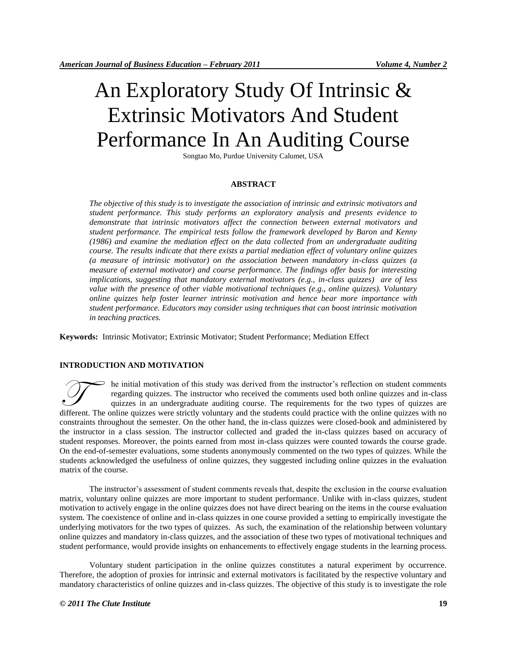# An Exploratory Study Of Intrinsic & Extrinsic Motivators And Student Performance In An Auditing Course

Songtao Mo, Purdue University Calumet, USA

#### **ABSTRACT**

*The objective of this study is to investigate the association of intrinsic and extrinsic motivators and student performance. This study performs an exploratory analysis and presents evidence to demonstrate that intrinsic motivators affect the connection between external motivators and student performance. The empirical tests follow the framework developed by Baron and Kenny (1986) and examine the mediation effect on the data collected from an undergraduate auditing course. The results indicate that there exists a partial mediation effect of voluntary online quizzes (a measure of intrinsic motivator) on the association between mandatory in-class quizzes (a measure of external motivator) and course performance. The findings offer basis for interesting implications, suggesting that mandatory external motivators (e.g., in-class quizzes) are of less value with the presence of other viable motivational techniques (e.g., online quizzes). Voluntary online quizzes help foster learner intrinsic motivation and hence bear more importance with student performance. Educators may consider using techniques that can boost intrinsic motivation in teaching practices.* 

**Keywords:** Intrinsic Motivator; Extrinsic Motivator; Student Performance; Mediation Effect

# **INTRODUCTION AND MOTIVATION**

he initial motivation of this study was derived from the instructor's reflection on student comments regarding quizzes. The instructor who received the comments used both online quizzes and in-class quizzes in an undergraduate auditing course. The requirements for the two types of quizzes are different. The online quizzes were strictly voluntary and the students could practice with the online quizzes and in-class quizzes in an undergraduate auditing course. The requirements for the two types of quizzes are diff constraints throughout the semester. On the other hand, the in-class quizzes were closed-book and administered by the instructor in a class session. The instructor collected and graded the in-class quizzes based on accuracy of student responses. Moreover, the points earned from most in-class quizzes were counted towards the course grade. On the end-of-semester evaluations, some students anonymously commented on the two types of quizzes. While the students acknowledged the usefulness of online quizzes, they suggested including online quizzes in the evaluation matrix of the course.

The instructor's assessment of student comments reveals that, despite the exclusion in the course evaluation matrix, voluntary online quizzes are more important to student performance. Unlike with in-class quizzes, student motivation to actively engage in the online quizzes does not have direct bearing on the items in the course evaluation system. The coexistence of online and in-class quizzes in one course provided a setting to empirically investigate the underlying motivators for the two types of quizzes. As such, the examination of the relationship between voluntary online quizzes and mandatory in-class quizzes, and the association of these two types of motivational techniques and student performance, would provide insights on enhancements to effectively engage students in the learning process.

Voluntary student participation in the online quizzes constitutes a natural experiment by occurrence. Therefore, the adoption of proxies for intrinsic and external motivators is facilitated by the respective voluntary and mandatory characteristics of online quizzes and in-class quizzes. The objective of this study is to investigate the role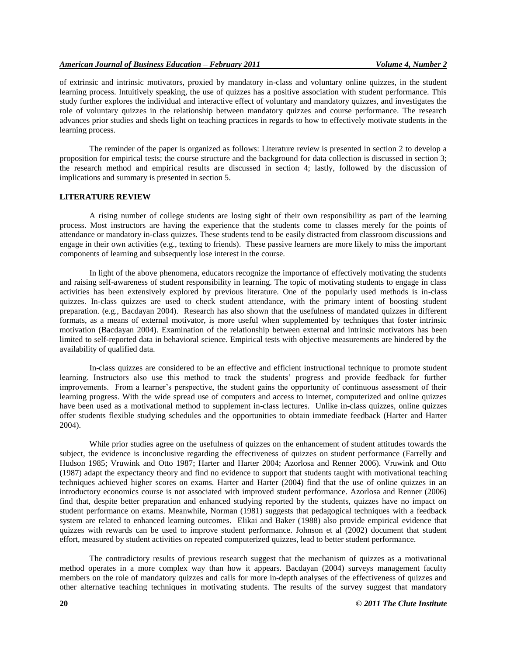of extrinsic and intrinsic motivators, proxied by mandatory in-class and voluntary online quizzes, in the student learning process. Intuitively speaking, the use of quizzes has a positive association with student performance. This study further explores the individual and interactive effect of voluntary and mandatory quizzes, and investigates the role of voluntary quizzes in the relationship between mandatory quizzes and course performance. The research advances prior studies and sheds light on teaching practices in regards to how to effectively motivate students in the learning process.

The reminder of the paper is organized as follows: Literature review is presented in section 2 to develop a proposition for empirical tests; the course structure and the background for data collection is discussed in section 3; the research method and empirical results are discussed in section 4; lastly, followed by the discussion of implications and summary is presented in section 5.

#### **LITERATURE REVIEW**

A rising number of college students are losing sight of their own responsibility as part of the learning process. Most instructors are having the experience that the students come to classes merely for the points of attendance or mandatory in-class quizzes. These students tend to be easily distracted from classroom discussions and engage in their own activities (e.g., texting to friends). These passive learners are more likely to miss the important components of learning and subsequently lose interest in the course.

In light of the above phenomena, educators recognize the importance of effectively motivating the students and raising self-awareness of student responsibility in learning. The topic of motivating students to engage in class activities has been extensively explored by previous literature. One of the popularly used methods is in-class quizzes. In-class quizzes are used to check student attendance, with the primary intent of boosting student preparation. (e.g., Bacdayan 2004). Research has also shown that the usefulness of mandated quizzes in different formats, as a means of external motivator, is more useful when supplemented by techniques that foster intrinsic motivation (Bacdayan 2004). Examination of the relationship between external and intrinsic motivators has been limited to self-reported data in behavioral science. Empirical tests with objective measurements are hindered by the availability of qualified data.

In-class quizzes are considered to be an effective and efficient instructional technique to promote student learning. Instructors also use this method to track the students' progress and provide feedback for further improvements. From a learner's perspective, the student gains the opportunity of continuous assessment of their learning progress. With the wide spread use of computers and access to internet, computerized and online quizzes have been used as a motivational method to supplement in-class lectures. Unlike in-class quizzes, online quizzes offer students flexible studying schedules and the opportunities to obtain immediate feedback (Harter and Harter 2004).

While prior studies agree on the usefulness of quizzes on the enhancement of student attitudes towards the subject, the evidence is inconclusive regarding the effectiveness of quizzes on student performance (Farrelly and Hudson 1985; Vruwink and Otto 1987; Harter and Harter 2004; Azorlosa and Renner 2006). Vruwink and Otto (1987) adapt the expectancy theory and find no evidence to support that students taught with motivational teaching techniques achieved higher scores on exams. Harter and Harter (2004) find that the use of online quizzes in an introductory economics course is not associated with improved student performance. Azorlosa and Renner (2006) find that, despite better preparation and enhanced studying reported by the students, quizzes have no impact on student performance on exams. Meanwhile, Norman (1981) suggests that pedagogical techniques with a feedback system are related to enhanced learning outcomes. Elikai and Baker (1988) also provide empirical evidence that quizzes with rewards can be used to improve student performance. Johnson et al (2002) document that student effort, measured by student activities on repeated computerized quizzes, lead to better student performance.

The contradictory results of previous research suggest that the mechanism of quizzes as a motivational method operates in a more complex way than how it appears. Bacdayan (2004) surveys management faculty members on the role of mandatory quizzes and calls for more in-depth analyses of the effectiveness of quizzes and other alternative teaching techniques in motivating students. The results of the survey suggest that mandatory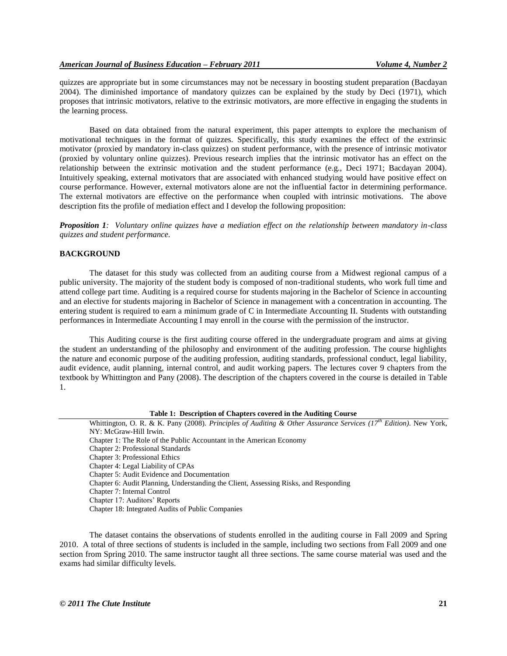quizzes are appropriate but in some circumstances may not be necessary in boosting student preparation (Bacdayan 2004). The diminished importance of mandatory quizzes can be explained by the study by Deci (1971), which proposes that intrinsic motivators, relative to the extrinsic motivators, are more effective in engaging the students in the learning process.

Based on data obtained from the natural experiment, this paper attempts to explore the mechanism of motivational techniques in the format of quizzes. Specifically, this study examines the effect of the extrinsic motivator (proxied by mandatory in-class quizzes) on student performance, with the presence of intrinsic motivator (proxied by voluntary online quizzes). Previous research implies that the intrinsic motivator has an effect on the relationship between the extrinsic motivation and the student performance (e.g., Deci 1971; Bacdayan 2004). Intuitively speaking, external motivators that are associated with enhanced studying would have positive effect on course performance. However, external motivators alone are not the influential factor in determining performance. The external motivators are effective on the performance when coupled with intrinsic motivations. The above description fits the profile of mediation effect and I develop the following proposition:

*Proposition 1: Voluntary online quizzes have a mediation effect on the relationship between mandatory in-class quizzes and student performance.* 

#### **BACKGROUND**

The dataset for this study was collected from an auditing course from a Midwest regional campus of a public university. The majority of the student body is composed of non-traditional students, who work full time and attend college part time. Auditing is a required course for students majoring in the Bachelor of Science in accounting and an elective for students majoring in Bachelor of Science in management with a concentration in accounting. The entering student is required to earn a minimum grade of C in Intermediate Accounting II. Students with outstanding performances in Intermediate Accounting I may enroll in the course with the permission of the instructor.

This Auditing course is the first auditing course offered in the undergraduate program and aims at giving the student an understanding of the philosophy and environment of the auditing profession. The course highlights the nature and economic purpose of the auditing profession, auditing standards, professional conduct, legal liability, audit evidence, audit planning, internal control, and audit working papers. The lectures cover 9 chapters from the textbook by Whittington and Pany (2008). The description of the chapters covered in the course is detailed in Table 1.

**Table 1: Description of Chapters covered in the Auditing Course**

Whittington, O. R. & K. Pany (2008). *Principles of Auditing & Other Assurance Services (17th Edition)*. New York, NY: McGraw-Hill Irwin. Chapter 1: The Role of the Public Accountant in the American Economy Chapter 2: Professional Standards Chapter 3: Professional Ethics Chapter 4: Legal Liability of CPAs Chapter 5: Audit Evidence and Documentation Chapter 6: Audit Planning, Understanding the Client, Assessing Risks, and Responding Chapter 7: Internal Control Chapter 17: Auditors' Reports Chapter 18: Integrated Audits of Public Companies

The dataset contains the observations of students enrolled in the auditing course in Fall 2009 and Spring 2010. A total of three sections of students is included in the sample, including two sections from Fall 2009 and one section from Spring 2010. The same instructor taught all three sections. The same course material was used and the exams had similar difficulty levels.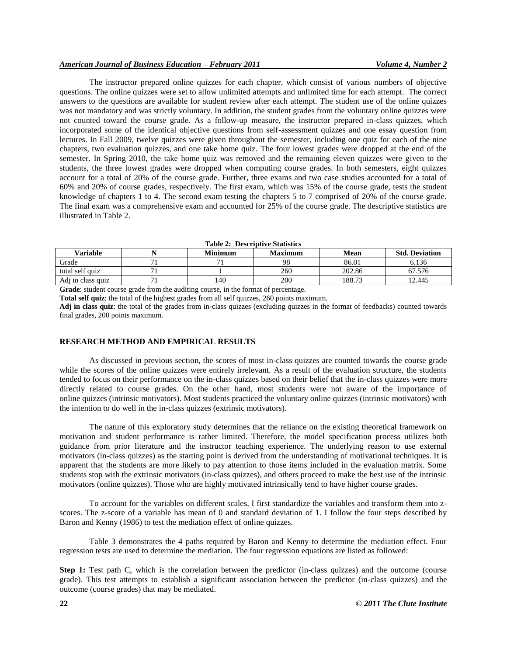# *American Journal of Business Education – February 2011 Volume 4, Number 2*

The instructor prepared online quizzes for each chapter, which consist of various numbers of objective questions. The online quizzes were set to allow unlimited attempts and unlimited time for each attempt. The correct answers to the questions are available for student review after each attempt. The student use of the online quizzes was not mandatory and was strictly voluntary. In addition, the student grades from the voluntary online quizzes were not counted toward the course grade. As a follow-up measure, the instructor prepared in-class quizzes, which incorporated some of the identical objective questions from self-assessment quizzes and one essay question from lectures. In Fall 2009, twelve quizzes were given throughout the semester, including one quiz for each of the nine chapters, two evaluation quizzes, and one take home quiz. The four lowest grades were dropped at the end of the semester. In Spring 2010, the take home quiz was removed and the remaining eleven quizzes were given to the students, the three lowest grades were dropped when computing course grades. In both semesters, eight quizzes account for a total of 20% of the course grade. Further, three exams and two case studies accounted for a total of 60% and 20% of course grades, respectively. The first exam, which was 15% of the course grade, tests the student knowledge of chapters 1 to 4. The second exam testing the chapters 5 to 7 comprised of 20% of the course grade. The final exam was a comprehensive exam and accounted for 25% of the course grade. The descriptive statistics are illustrated in Table 2.

| <b>Table 2: Descriptive Statistics</b> |  |                |                |        |                       |  |  |  |  |
|----------------------------------------|--|----------------|----------------|--------|-----------------------|--|--|--|--|
| Variable                               |  | <b>Minimum</b> | <b>Maximum</b> | Mean   | <b>Std. Deviation</b> |  |  |  |  |
| Grade                                  |  |                | 98             | 86.01  | 6.136                 |  |  |  |  |
| total self quiz                        |  |                | 260            | 202.86 | 67.576                |  |  |  |  |
| Adi in class quiz                      |  | 140            | 200            | 188.73 | 12.445                |  |  |  |  |

**Grade**: student course grade from the auditing course, in the format of percentage.

**Total self quiz**: the total of the highest grades from all self quizzes, 260 points maximum.

**Adj in class quiz**: the total of the grades from in-class quizzes (excluding quizzes in the format of feedbacks) counted towards final grades, 200 points maximum.

#### **RESEARCH METHOD AND EMPIRICAL RESULTS**

As discussed in previous section, the scores of most in-class quizzes are counted towards the course grade while the scores of the online quizzes were entirely irrelevant. As a result of the evaluation structure, the students tended to focus on their performance on the in-class quizzes based on their belief that the in-class quizzes were more directly related to course grades. On the other hand, most students were not aware of the importance of online quizzes (intrinsic motivators). Most students practiced the voluntary online quizzes (intrinsic motivators) with the intention to do well in the in-class quizzes (extrinsic motivators).

The nature of this exploratory study determines that the reliance on the existing theoretical framework on motivation and student performance is rather limited. Therefore, the model specification process utilizes both guidance from prior literature and the instructor teaching experience. The underlying reason to use external motivators (in-class quizzes) as the starting point is derived from the understanding of motivational techniques. It is apparent that the students are more likely to pay attention to those items included in the evaluation matrix. Some students stop with the extrinsic motivators (in-class quizzes), and others proceed to make the best use of the intrinsic motivators (online quizzes). Those who are highly motivated intrinsically tend to have higher course grades.

To account for the variables on different scales, I first standardize the variables and transform them into zscores. The z-score of a variable has mean of 0 and standard deviation of 1. I follow the four steps described by Baron and Kenny (1986) to test the mediation effect of online quizzes.

Table 3 demonstrates the 4 paths required by Baron and Kenny to determine the mediation effect. Four regression tests are used to determine the mediation. The four regression equations are listed as followed:

**Step 1:** Test path C, which is the correlation between the predictor (in-class quizzes) and the outcome (course grade). This test attempts to establish a significant association between the predictor (in-class quizzes) and the outcome (course grades) that may be mediated.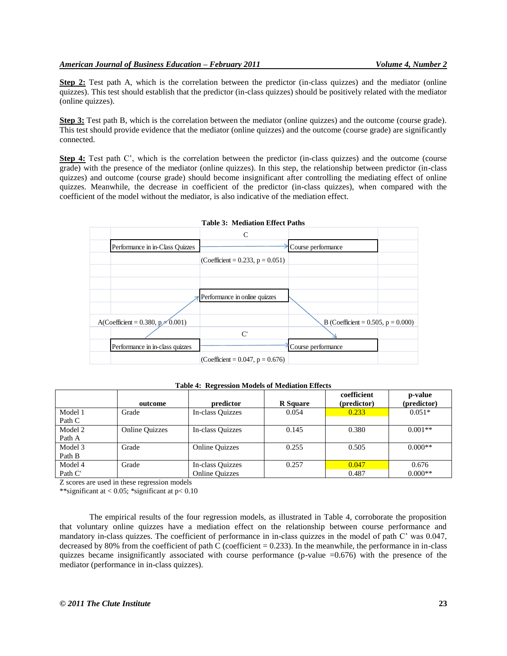**Step 2:** Test path A, which is the correlation between the predictor (in-class quizzes) and the mediator (online quizzes). This test should establish that the predictor (in-class quizzes) should be positively related with the mediator (online quizzes).

**Step 3:** Test path B, which is the correlation between the mediator (online quizzes) and the outcome (course grade). This test should provide evidence that the mediator (online quizzes) and the outcome (course grade) are significantly connected.

**Step 4:** Test path C', which is the correlation between the predictor (in-class quizzes) and the outcome (course grade) with the presence of the mediator (online quizzes). In this step, the relationship between predictor (in-class quizzes) and outcome (course grade) should become insignificant after controlling the mediating effect of online quizzes. Meanwhile, the decrease in coefficient of the predictor (in-class quizzes), when compared with the coefficient of the model without the mediator, is also indicative of the mediation effect.



| Table 4: Regression Models of Mediation Effects |  |  |
|-------------------------------------------------|--|--|
|-------------------------------------------------|--|--|

|         | outcome               | predictor             | <b>R</b> Square | coefficient<br>(predictor) | p-value<br>(predictor) |
|---------|-----------------------|-----------------------|-----------------|----------------------------|------------------------|
| Model 1 | Grade                 | In-class Ouizzes      | 0.054           | 0.233                      | $0.051*$               |
| Path C  |                       |                       |                 |                            |                        |
| Model 2 | <b>Online Quizzes</b> | In-class Ouizzes      | 0.145           | 0.380                      | $0.001**$              |
| Path A  |                       |                       |                 |                            |                        |
| Model 3 | Grade                 | <b>Online Quizzes</b> | 0.255           | 0.505                      | $0.000**$              |
| Path B  |                       |                       |                 |                            |                        |
| Model 4 | Grade                 | In-class Quizzes      | 0.257           | 0.047                      | 0.676                  |
| Path C' |                       | <b>Online Quizzes</b> |                 | 0.487                      | $0.000**$              |

Z scores are used in these regression models

\*\*significant at  $< 0.05$ ; \*significant at  $p < 0.10$ 

The empirical results of the four regression models, as illustrated in Table 4, corroborate the proposition that voluntary online quizzes have a mediation effect on the relationship between course performance and mandatory in-class quizzes. The coefficient of performance in in-class quizzes in the model of path C' was 0.047, decreased by 80% from the coefficient of path C (coefficient  $= 0.233$ ). In the meanwhile, the performance in in-class quizzes became insignificantly associated with course performance (p-value  $=0.676$ ) with the presence of the mediator (performance in in-class quizzes).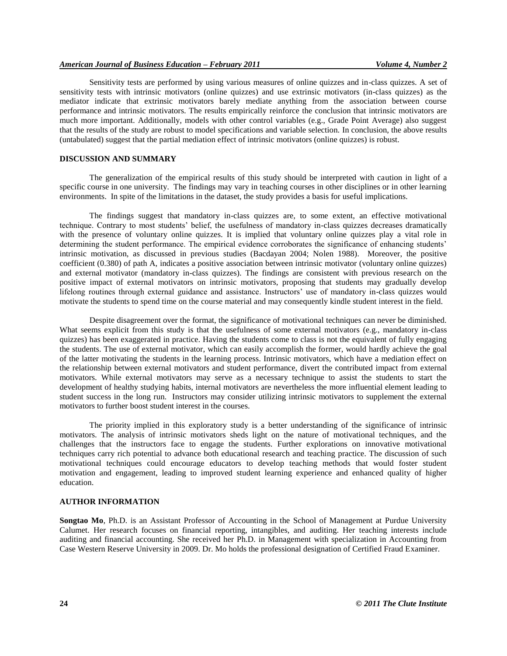Sensitivity tests are performed by using various measures of online quizzes and in-class quizzes. A set of sensitivity tests with intrinsic motivators (online quizzes) and use extrinsic motivators (in-class quizzes) as the mediator indicate that extrinsic motivators barely mediate anything from the association between course performance and intrinsic motivators. The results empirically reinforce the conclusion that intrinsic motivators are much more important. Additionally, models with other control variables (e.g., Grade Point Average) also suggest that the results of the study are robust to model specifications and variable selection. In conclusion, the above results (untabulated) suggest that the partial mediation effect of intrinsic motivators (online quizzes) is robust.

### **DISCUSSION AND SUMMARY**

The generalization of the empirical results of this study should be interpreted with caution in light of a specific course in one university. The findings may vary in teaching courses in other disciplines or in other learning environments. In spite of the limitations in the dataset, the study provides a basis for useful implications.

The findings suggest that mandatory in-class quizzes are, to some extent, an effective motivational technique. Contrary to most students' belief, the usefulness of mandatory in-class quizzes decreases dramatically with the presence of voluntary online quizzes. It is implied that voluntary online quizzes play a vital role in determining the student performance. The empirical evidence corroborates the significance of enhancing students' intrinsic motivation, as discussed in previous studies (Bacdayan 2004; Nolen 1988). Moreover, the positive coefficient (0.380) of path A, indicates a positive association between intrinsic motivator (voluntary online quizzes) and external motivator (mandatory in-class quizzes). The findings are consistent with previous research on the positive impact of external motivators on intrinsic motivators, proposing that students may gradually develop lifelong routines through external guidance and assistance. Instructors' use of mandatory in-class quizzes would motivate the students to spend time on the course material and may consequently kindle student interest in the field.

Despite disagreement over the format, the significance of motivational techniques can never be diminished. What seems explicit from this study is that the usefulness of some external motivators (e.g., mandatory in-class quizzes) has been exaggerated in practice. Having the students come to class is not the equivalent of fully engaging the students. The use of external motivator, which can easily accomplish the former, would hardly achieve the goal of the latter motivating the students in the learning process. Intrinsic motivators, which have a mediation effect on the relationship between external motivators and student performance, divert the contributed impact from external motivators. While external motivators may serve as a necessary technique to assist the students to start the development of healthy studying habits, internal motivators are nevertheless the more influential element leading to student success in the long run. Instructors may consider utilizing intrinsic motivators to supplement the external motivators to further boost student interest in the courses.

The priority implied in this exploratory study is a better understanding of the significance of intrinsic motivators. The analysis of intrinsic motivators sheds light on the nature of motivational techniques, and the challenges that the instructors face to engage the students. Further explorations on innovative motivational techniques carry rich potential to advance both educational research and teaching practice. The discussion of such motivational techniques could encourage educators to develop teaching methods that would foster student motivation and engagement, leading to improved student learning experience and enhanced quality of higher education.

### **AUTHOR INFORMATION**

**Songtao Mo**, Ph.D. is an Assistant Professor of Accounting in the School of Management at Purdue University Calumet. Her research focuses on financial reporting, intangibles, and auditing. Her teaching interests include auditing and financial accounting. She received her Ph.D. in Management with specialization in Accounting from Case Western Reserve University in 2009. Dr. Mo holds the professional designation of Certified Fraud Examiner.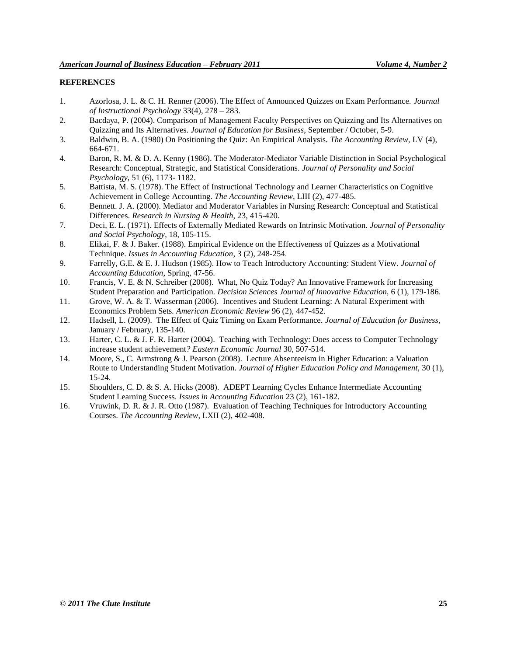# **REFERENCES**

- 1. Azorlosa, J. L. & C. H. Renner (2006). The Effect of Announced Quizzes on Exam Performance. *Journal of Instructional Psychology* 33(4), 278 – 283.
- 2. Bacdaya, P. (2004). Comparison of Management Faculty Perspectives on Quizzing and Its Alternatives on Quizzing and Its Alternatives. *Journal of Education for Business*, September / October, 5-9.
- 3. Baldwin, B. A. (1980) On Positioning the Quiz: An Empirical Analysis. *The Accounting Review,* LV (4), 664-671.
- 4. Baron, R. M. & D. A. Kenny (1986). The Moderator-Mediator Variable Distinction in Social Psychological Research: Conceptual, Strategic, and Statistical Considerations. *Journal of Personality and Social Psychology,* 51 (6), 1173- 1182.
- 5. Battista, M. S. (1978). The Effect of Instructional Technology and Learner Characteristics on Cognitive Achievement in College Accounting. *The Accounting Review*, LIII (2), 477-485.
- 6. Bennett. J. A. (2000). Mediator and Moderator Variables in Nursing Research: Conceptual and Statistical Differences. *Research in Nursing & Health*, 23, 415-420.
- 7. Deci, E. L. (1971). Effects of Externally Mediated Rewards on Intrinsic Motivation. *Journal of Personality and Social Psychology*, 18, 105-115.
- 8. Elikai, F. & J. Baker. (1988). Empirical Evidence on the Effectiveness of Quizzes as a Motivational Technique. *Issues in Accounting Education*, 3 (2), 248-254.
- 9. Farrelly, G.E. & E. J. Hudson (1985). How to Teach Introductory Accounting: Student View. *Journal of Accounting Education*, Spring, 47-56.
- 10. Francis, V. E. & N. Schreiber (2008). What, No Quiz Today? An Innovative Framework for Increasing Student Preparation and Participation. *Decision Sciences Journal of Innovative Education*, 6 (1), 179-186.
- 11. Grove, W. A. & T. Wasserman (2006). Incentives and Student Learning: A Natural Experiment with Economics Problem Sets*. American Economic Review* 96 (2), 447-452.
- 12. Hadsell, L. (2009). The Effect of Quiz Timing on Exam Performance. *Journal of Education for Business,*  January / February, 135-140.
- 13. Harter, C. L. & J. F. R. Harter (2004). Teaching with Technology: Does access to Computer Technology increase student achievement*? Eastern Economic Journal* 30, 507-514.
- 14. Moore, S., C. Armstrong & J. Pearson (2008). Lecture Absenteeism in Higher Education: a Valuation Route to Understanding Student Motivation. *Journal of Higher Education Policy and Management,* 30 (1), 15-24.
- 15. Shoulders, C. D. & S. A. Hicks (2008). ADEPT Learning Cycles Enhance Intermediate Accounting Student Learning Success. *Issues in Accounting Education* 23 (2), 161-182.
- 16. Vruwink, D. R. & J. R. Otto (1987). Evaluation of Teaching Techniques for Introductory Accounting Courses. *The Accounting Review*, LXII (2), 402-408.